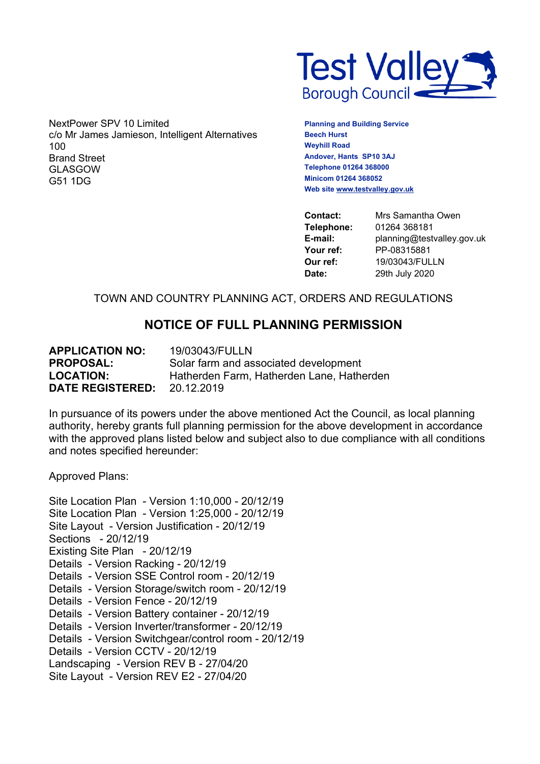

NextPower SPV 10 Limited c/o Mr James Jamieson, Intelligent Alternatives 100 Brand Street GLASGOW G51 1DG

**Planning and Building Service Beech Hurst Weyhill Road Andover, Hants SP10 3AJ Telephone 01264 368000 Minicom 01264 368052 Web site [www.testvalley.gov.uk](http://www.testvalley.gov.uk/)**

**Contact:** Mrs Samantha Owen **Telephone:** 01264 368181 **E-mail:** planning@testvalley.gov.uk **Your ref:** PP-08315881 **Our ref:** 19/03043/FULLN **Date:** 29th July 2020

# TOWN AND COUNTRY PLANNING ACT, ORDERS AND REGULATIONS

# **NOTICE OF FULL PLANNING PERMISSION**

**APPLICATION NO:** 19/03043/FULLN **PROPOSAL:** Solar farm and associated development **LOCATION:** Hatherden Farm, Hatherden Lane, Hatherden **DATE REGISTERED:** 20.12.2019

In pursuance of its powers under the above mentioned Act the Council, as local planning authority, hereby grants full planning permission for the above development in accordance with the approved plans listed below and subject also to due compliance with all conditions and notes specified hereunder:

Approved Plans:

Site Location Plan - Version 1:10,000 - 20/12/19 Site Location Plan - Version 1:25,000 - 20/12/19 Site Layout - Version Justification - 20/12/19 Sections - 20/12/19 Existing Site Plan - 20/12/19 Details - Version Racking - 20/12/19 Details - Version SSE Control room - 20/12/19 Details - Version Storage/switch room - 20/12/19 Details - Version Fence - 20/12/19 Details - Version Battery container - 20/12/19 Details - Version Inverter/transformer - 20/12/19 Details - Version Switchgear/control room - 20/12/19 Details - Version CCTV - 20/12/19 Landscaping - Version REV B - 27/04/20 Site Layout - Version REV E2 - 27/04/20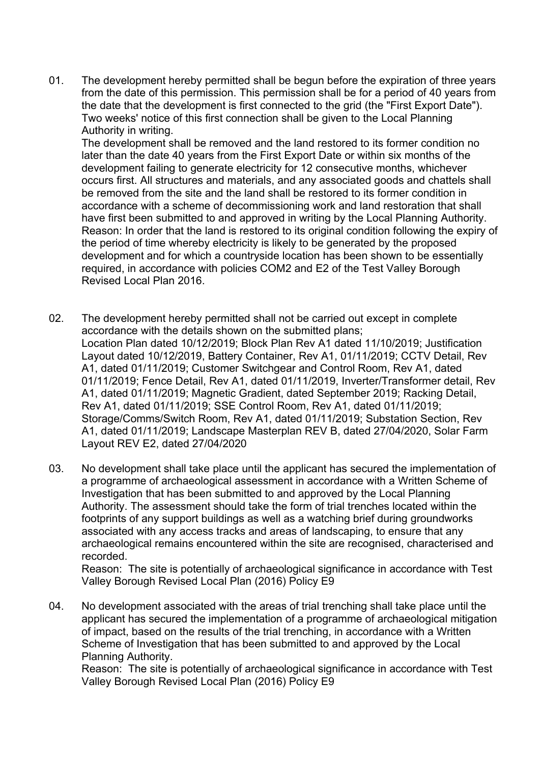01. The development hereby permitted shall be begun before the expiration of three years from the date of this permission. This permission shall be for a period of 40 years from the date that the development is first connected to the grid (the "First Export Date"). Two weeks' notice of this first connection shall be given to the Local Planning Authority in writing.

The development shall be removed and the land restored to its former condition no later than the date 40 years from the First Export Date or within six months of the development failing to generate electricity for 12 consecutive months, whichever occurs first. All structures and materials, and any associated goods and chattels shall be removed from the site and the land shall be restored to its former condition in accordance with a scheme of decommissioning work and land restoration that shall have first been submitted to and approved in writing by the Local Planning Authority. Reason: In order that the land is restored to its original condition following the expiry of the period of time whereby electricity is likely to be generated by the proposed development and for which a countryside location has been shown to be essentially required, in accordance with policies COM2 and E2 of the Test Valley Borough Revised Local Plan 2016.

- 02. The development hereby permitted shall not be carried out except in complete accordance with the details shown on the submitted plans; Location Plan dated 10/12/2019; Block Plan Rev A1 dated 11/10/2019; Justification Layout dated 10/12/2019, Battery Container, Rev A1, 01/11/2019; CCTV Detail, Rev A1, dated 01/11/2019; Customer Switchgear and Control Room, Rev A1, dated 01/11/2019; Fence Detail, Rev A1, dated 01/11/2019, Inverter/Transformer detail, Rev A1, dated 01/11/2019; Magnetic Gradient, dated September 2019; Racking Detail, Rev A1, dated 01/11/2019; SSE Control Room, Rev A1, dated 01/11/2019; Storage/Comms/Switch Room, Rev A1, dated 01/11/2019; Substation Section, Rev A1, dated 01/11/2019; Landscape Masterplan REV B, dated 27/04/2020, Solar Farm Layout REV E2, dated 27/04/2020
- 03. No development shall take place until the applicant has secured the implementation of a programme of archaeological assessment in accordance with a Written Scheme of Investigation that has been submitted to and approved by the Local Planning Authority. The assessment should take the form of trial trenches located within the footprints of any support buildings as well as a watching brief during groundworks associated with any access tracks and areas of landscaping, to ensure that any archaeological remains encountered within the site are recognised, characterised and recorded.

Reason: The site is potentially of archaeological significance in accordance with Test Valley Borough Revised Local Plan (2016) Policy E9

04. No development associated with the areas of trial trenching shall take place until the applicant has secured the implementation of a programme of archaeological mitigation of impact, based on the results of the trial trenching, in accordance with a Written Scheme of Investigation that has been submitted to and approved by the Local Planning Authority.

Reason: The site is potentially of archaeological significance in accordance with Test Valley Borough Revised Local Plan (2016) Policy E9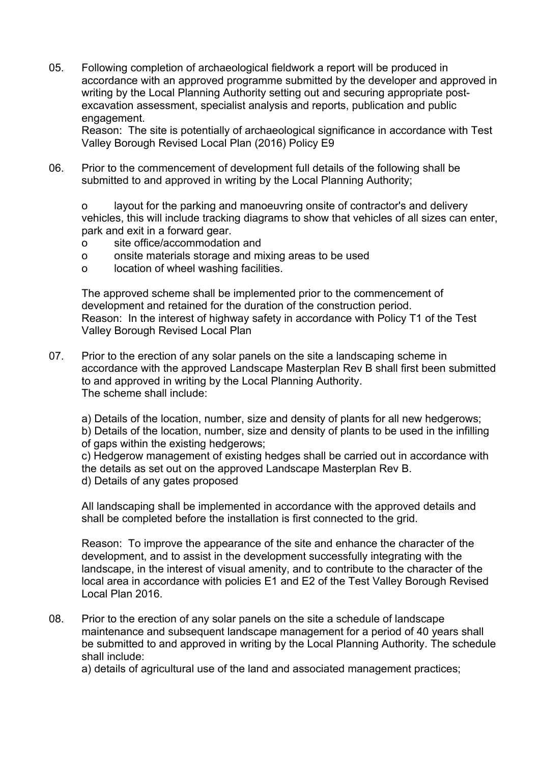05. Following completion of archaeological fieldwork a report will be produced in accordance with an approved programme submitted by the developer and approved in writing by the Local Planning Authority setting out and securing appropriate postexcavation assessment, specialist analysis and reports, publication and public engagement.

Reason: The site is potentially of archaeological significance in accordance with Test Valley Borough Revised Local Plan (2016) Policy E9

06. Prior to the commencement of development full details of the following shall be submitted to and approved in writing by the Local Planning Authority;

o layout for the parking and manoeuvring onsite of contractor's and delivery vehicles, this will include tracking diagrams to show that vehicles of all sizes can enter, park and exit in a forward gear.

- o site office/accommodation and
- o onsite materials storage and mixing areas to be used
- o location of wheel washing facilities.

The approved scheme shall be implemented prior to the commencement of development and retained for the duration of the construction period. Reason: In the interest of highway safety in accordance with Policy T1 of the Test Valley Borough Revised Local Plan

- 07. Prior to the erection of any solar panels on the site a landscaping scheme in accordance with the approved Landscape Masterplan Rev B shall first been submitted to and approved in writing by the Local Planning Authority. The scheme shall include:
	- a) Details of the location, number, size and density of plants for all new hedgerows;

b) Details of the location, number, size and density of plants to be used in the infilling of gaps within the existing hedgerows;

c) Hedgerow management of existing hedges shall be carried out in accordance with the details as set out on the approved Landscape Masterplan Rev B. d) Details of any gates proposed

All landscaping shall be implemented in accordance with the approved details and shall be completed before the installation is first connected to the grid.

Reason: To improve the appearance of the site and enhance the character of the development, and to assist in the development successfully integrating with the landscape, in the interest of visual amenity, and to contribute to the character of the local area in accordance with policies E1 and E2 of the Test Valley Borough Revised Local Plan 2016.

08. Prior to the erection of any solar panels on the site a schedule of landscape maintenance and subsequent landscape management for a period of 40 years shall be submitted to and approved in writing by the Local Planning Authority. The schedule shall include:

a) details of agricultural use of the land and associated management practices;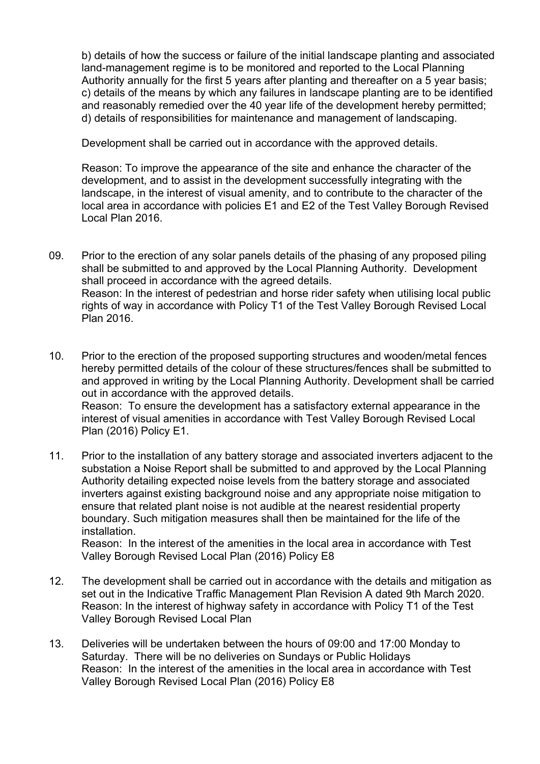b) details of how the success or failure of the initial landscape planting and associated land-management regime is to be monitored and reported to the Local Planning Authority annually for the first 5 years after planting and thereafter on a 5 year basis; c) details of the means by which any failures in landscape planting are to be identified and reasonably remedied over the 40 year life of the development hereby permitted; d) details of responsibilities for maintenance and management of landscaping.

Development shall be carried out in accordance with the approved details.

Reason: To improve the appearance of the site and enhance the character of the development, and to assist in the development successfully integrating with the landscape, in the interest of visual amenity, and to contribute to the character of the local area in accordance with policies E1 and E2 of the Test Valley Borough Revised Local Plan 2016.

- 09. Prior to the erection of any solar panels details of the phasing of any proposed piling shall be submitted to and approved by the Local Planning Authority. Development shall proceed in accordance with the agreed details. Reason: In the interest of pedestrian and horse rider safety when utilising local public rights of way in accordance with Policy T1 of the Test Valley Borough Revised Local Plan 2016.
- 10. Prior to the erection of the proposed supporting structures and wooden/metal fences hereby permitted details of the colour of these structures/fences shall be submitted to and approved in writing by the Local Planning Authority. Development shall be carried out in accordance with the approved details. Reason: To ensure the development has a satisfactory external appearance in the interest of visual amenities in accordance with Test Valley Borough Revised Local Plan (2016) Policy E1.
- 11. Prior to the installation of any battery storage and associated inverters adjacent to the substation a Noise Report shall be submitted to and approved by the Local Planning Authority detailing expected noise levels from the battery storage and associated inverters against existing background noise and any appropriate noise mitigation to ensure that related plant noise is not audible at the nearest residential property boundary. Such mitigation measures shall then be maintained for the life of the installation.

Reason: In the interest of the amenities in the local area in accordance with Test Valley Borough Revised Local Plan (2016) Policy E8

- 12. The development shall be carried out in accordance with the details and mitigation as set out in the Indicative Traffic Management Plan Revision A dated 9th March 2020. Reason: In the interest of highway safety in accordance with Policy T1 of the Test Valley Borough Revised Local Plan
- 13. Deliveries will be undertaken between the hours of 09:00 and 17:00 Monday to Saturday. There will be no deliveries on Sundays or Public Holidays Reason: In the interest of the amenities in the local area in accordance with Test Valley Borough Revised Local Plan (2016) Policy E8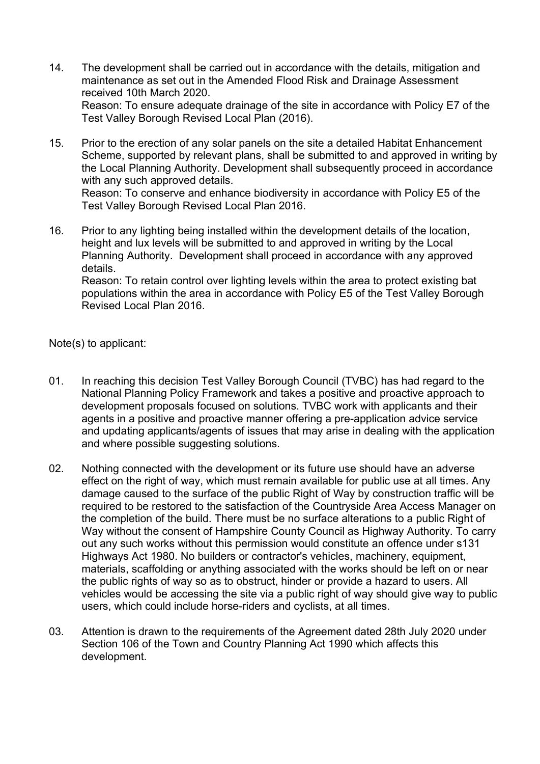- 14. The development shall be carried out in accordance with the details, mitigation and maintenance as set out in the Amended Flood Risk and Drainage Assessment received 10th March 2020. Reason: To ensure adequate drainage of the site in accordance with Policy E7 of the Test Valley Borough Revised Local Plan (2016).
- 15. Prior to the erection of any solar panels on the site a detailed Habitat Enhancement Scheme, supported by relevant plans, shall be submitted to and approved in writing by the Local Planning Authority. Development shall subsequently proceed in accordance with any such approved details. Reason: To conserve and enhance biodiversity in accordance with Policy E5 of the Test Valley Borough Revised Local Plan 2016.
- 16. Prior to any lighting being installed within the development details of the location, height and lux levels will be submitted to and approved in writing by the Local Planning Authority. Development shall proceed in accordance with any approved details. Reason: To retain control over lighting levels within the area to protect existing bat populations within the area in accordance with Policy E5 of the Test Valley Borough

Note(s) to applicant:

Revised Local Plan 2016.

- 01. In reaching this decision Test Valley Borough Council (TVBC) has had regard to the National Planning Policy Framework and takes a positive and proactive approach to development proposals focused on solutions. TVBC work with applicants and their agents in a positive and proactive manner offering a pre-application advice service and updating applicants/agents of issues that may arise in dealing with the application and where possible suggesting solutions.
- 02. Nothing connected with the development or its future use should have an adverse effect on the right of way, which must remain available for public use at all times. Any damage caused to the surface of the public Right of Way by construction traffic will be required to be restored to the satisfaction of the Countryside Area Access Manager on the completion of the build. There must be no surface alterations to a public Right of Way without the consent of Hampshire County Council as Highway Authority. To carry out any such works without this permission would constitute an offence under s131 Highways Act 1980. No builders or contractor's vehicles, machinery, equipment, materials, scaffolding or anything associated with the works should be left on or near the public rights of way so as to obstruct, hinder or provide a hazard to users. All vehicles would be accessing the site via a public right of way should give way to public users, which could include horse-riders and cyclists, at all times.
- 03. Attention is drawn to the requirements of the Agreement dated 28th July 2020 under Section 106 of the Town and Country Planning Act 1990 which affects this development.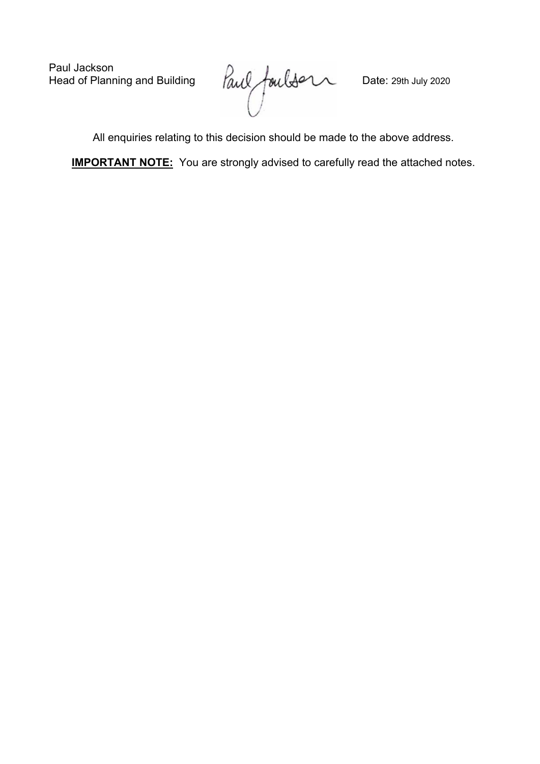Paul Jackson<br>Head of Planning and Building

Paul fouldon Date: 29th July 2020

All enquiries relating to this decision should be made to the above address.

**IMPORTANT NOTE:** You are strongly advised to carefully read the attached notes.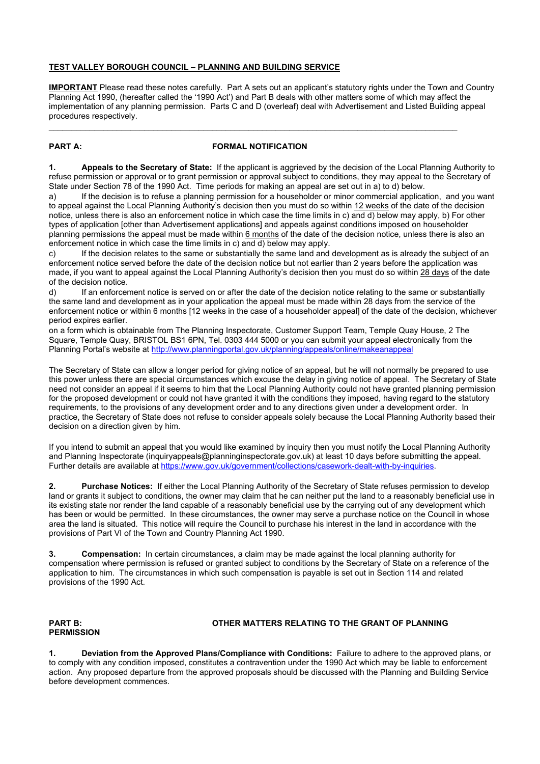#### **TEST VALLEY BOROUGH COUNCIL – PLANNING AND BUILDING SERVICE**

**IMPORTANT** Please read these notes carefully. Part A sets out an applicant's statutory rights under the Town and Country Planning Act 1990, (hereafter called the '1990 Act') and Part B deals with other matters some of which may affect the implementation of any planning permission. Parts C and D (overleaf) deal with Advertisement and Listed Building appeal procedures respectively.

 $\_$  . The contribution of the contribution of the contribution of the contribution of  $\mathcal{L}_1$ 

# **PART A: FORMAL NOTIFICATION**

**1. Appeals to the Secretary of State:** If the applicant is aggrieved by the decision of the Local Planning Authority to refuse permission or approval or to grant permission or approval subject to conditions, they may appeal to the Secretary of State under Section 78 of the 1990 Act. Time periods for making an appeal are set out in a) to d) below.

a) If the decision is to refuse a planning permission for a householder or minor commercial application, and you want to appeal against the Local Planning Authority's decision then you must do so within 12 weeks of the date of the decision notice, unless there is also an enforcement notice in which case the time limits in c) and d) below may apply, b) For other types of application [other than Advertisement applications] and appeals against conditions imposed on householder planning permissions the appeal must be made within 6 months of the date of the decision notice, unless there is also an enforcement notice in which case the time limits in c) and d) below may apply.

c) If the decision relates to the same or substantially the same land and development as is already the subject of an enforcement notice served before the date of the decision notice but not earlier than 2 years before the application was made, if you want to appeal against the Local Planning Authority's decision then you must do so within 28 days of the date of the decision notice.

d) If an enforcement notice is served on or after the date of the decision notice relating to the same or substantially the same land and development as in your application the appeal must be made within 28 days from the service of the enforcement notice or within 6 months [12 weeks in the case of a householder appeal] of the date of the decision, whichever period expires earlier.

on a form which is obtainable from The Planning Inspectorate, Customer Support Team, Temple Quay House, 2 The Square, Temple Quay, BRISTOL BS1 6PN, Tel. 0303 444 5000 or you can submit your appeal electronically from the Planning Portal's website at <http://www.planningportal.gov.uk/planning/appeals/online/makeanappeal>

The Secretary of State can allow a longer period for giving notice of an appeal, but he will not normally be prepared to use this power unless there are special circumstances which excuse the delay in giving notice of appeal. The Secretary of State need not consider an appeal if it seems to him that the Local Planning Authority could not have granted planning permission for the proposed development or could not have granted it with the conditions they imposed, having regard to the statutory requirements, to the provisions of any development order and to any directions given under a development order. In practice, the Secretary of State does not refuse to consider appeals solely because the Local Planning Authority based their decision on a direction given by him.

If you intend to submit an appeal that you would like examined by inquiry then you must notify the Local Planning Authority and Planning Inspectorate (inquiryappeals@planninginspectorate.gov.uk) at least 10 days before submitting the appeal. Further details are available at [https://www.gov.uk/government/collections/casework-dealt-with-by-inquiries.](https://www.gov.uk/government/collections/casework-dealt-with-by-inquiries)

**2. Purchase Notices:** If either the Local Planning Authority of the Secretary of State refuses permission to develop land or grants it subject to conditions, the owner may claim that he can neither put the land to a reasonably beneficial use in its existing state nor render the land capable of a reasonably beneficial use by the carrying out of any development which has been or would be permitted. In these circumstances, the owner may serve a purchase notice on the Council in whose area the land is situated. This notice will require the Council to purchase his interest in the land in accordance with the provisions of Part VI of the Town and Country Planning Act 1990.

**3. Compensation:** In certain circumstances, a claim may be made against the local planning authority for compensation where permission is refused or granted subject to conditions by the Secretary of State on a reference of the application to him. The circumstances in which such compensation is payable is set out in Section 114 and related provisions of the 1990 Act.

#### **PART B: OTHER MATTERS RELATING TO THE GRANT OF PLANNING**

**PERMISSION**

**1. Deviation from the Approved Plans/Compliance with Conditions:** Failure to adhere to the approved plans, or to comply with any condition imposed, constitutes a contravention under the 1990 Act which may be liable to enforcement action. Any proposed departure from the approved proposals should be discussed with the Planning and Building Service before development commences.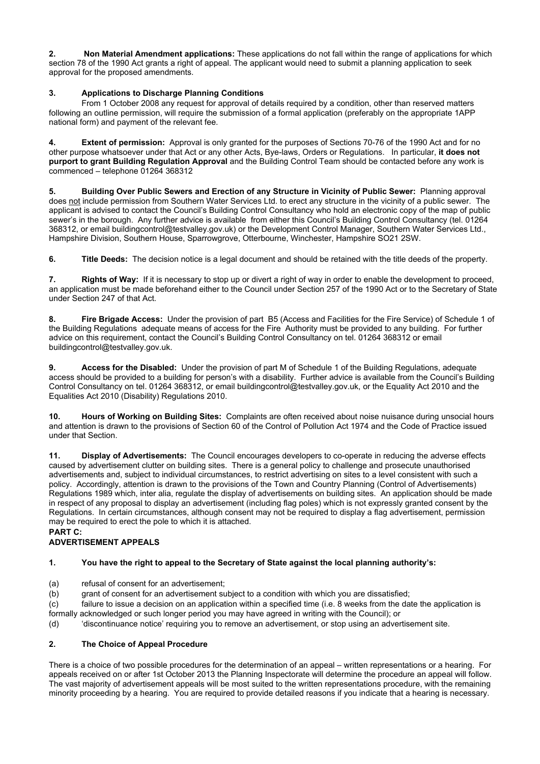**2. Non Material Amendment applications:** These applications do not fall within the range of applications for which section 78 of the 1990 Act grants a right of appeal. The applicant would need to submit a planning application to seek approval for the proposed amendments.

# **3. Applications to Discharge Planning Conditions**

From 1 October 2008 any request for approval of details required by a condition, other than reserved matters following an outline permission, will require the submission of a formal application (preferably on the appropriate 1APP national form) and payment of the relevant fee.

**4. Extent of permission:** Approval is only granted for the purposes of Sections 70-76 of the 1990 Act and for no other purpose whatsoever under that Act or any other Acts, Bye-laws, Orders or Regulations. In particular, **it does not purport to grant Building Regulation Approval** and the Building Control Team should be contacted before any work is commenced – telephone 01264 368312

**5. Building Over Public Sewers and Erection of any Structure in Vicinity of Public Sewer:** Planning approval does not include permission from Southern Water Services Ltd. to erect any structure in the vicinity of a public sewer. The applicant is advised to contact the Council's Building Control Consultancy who hold an electronic copy of the map of public sewer's in the borough. Any further advice is available from either this Council's Building Control Consultancy (tel. 01264 368312, or email buildingcontrol@testvalley.gov.uk) or the Development Control Manager, Southern Water Services Ltd., Hampshire Division, Southern House, Sparrowgrove, Otterbourne, Winchester, Hampshire SO21 2SW.

**6. Title Deeds:** The decision notice is a legal document and should be retained with the title deeds of the property.

**7. Rights of Way:** If it is necessary to stop up or divert a right of way in order to enable the development to proceed, an application must be made beforehand either to the Council under Section 257 of the 1990 Act or to the Secretary of State under Section 247 of that Act.

**8. Fire Brigade Access:** Under the provision of part B5 (Access and Facilities for the Fire Service) of Schedule 1 of the Building Regulations adequate means of access for the Fire Authority must be provided to any building. For further advice on this requirement, contact the Council's Building Control Consultancy on tel. 01264 368312 or email buildingcontrol@testvalley.gov.uk.

**9. Access for the Disabled:** Under the provision of part M of Schedule 1 of the Building Regulations, adequate access should be provided to a building for person's with a disability. Further advice is available from the Council's Building Control Consultancy on tel. 01264 368312, or email buildingcontrol@testvalley.gov.uk, or the Equality Act 2010 and the Equalities Act 2010 (Disability) Regulations 2010.

**10. Hours of Working on Building Sites:** Complaints are often received about noise nuisance during unsocial hours and attention is drawn to the provisions of Section 60 of the Control of Pollution Act 1974 and the Code of Practice issued under that Section.

**11. Display of Advertisements:** The Council encourages developers to co-operate in reducing the adverse effects caused by advertisement clutter on building sites. There is a general policy to challenge and prosecute unauthorised advertisements and, subject to individual circumstances, to restrict advertising on sites to a level consistent with such a policy. Accordingly, attention is drawn to the provisions of the Town and Country Planning (Control of Advertisements) Regulations 1989 which, inter alia, regulate the display of advertisements on building sites. An application should be made in respect of any proposal to display an advertisement (including flag poles) which is not expressly granted consent by the Regulations. In certain circumstances, although consent may not be required to display a flag advertisement, permission may be required to erect the pole to which it is attached.

# **PART C:**

# **ADVERTISEMENT APPEALS**

# **1. You have the right to appeal to the Secretary of State against the local planning authority's:**

- (a) refusal of consent for an advertisement;
- (b) grant of consent for an advertisement subject to a condition with which you are dissatisfied;

(c) failure to issue a decision on an application within a specified time (i.e. 8 weeks from the date the application is formally acknowledged or such longer period you may have agreed in writing with the Council); or

(d) 'discontinuance notice' requiring you to remove an advertisement, or stop using an advertisement site.

# **2. The Choice of Appeal Procedure**

There is a choice of two possible procedures for the determination of an appeal – written representations or a hearing. For appeals received on or after 1st October 2013 the Planning Inspectorate will determine the procedure an appeal will follow. The vast majority of advertisement appeals will be most suited to the written representations procedure, with the remaining minority proceeding by a hearing. You are required to provide detailed reasons if you indicate that a hearing is necessary.